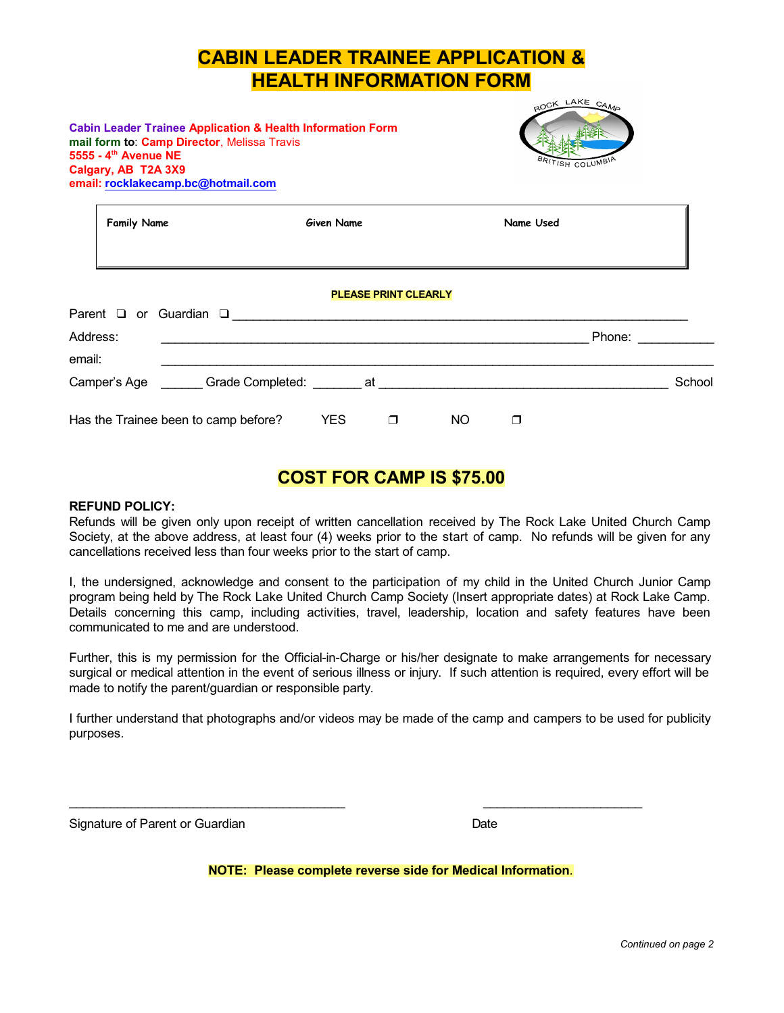# **CABIN LEADER TRAINEE APPLICATION & HEALTH INFORMATION FORM**

#### **Cabin Leader Trainee Application & Health Information Form mail form to**: **Camp Director**, Melissa Travis **5555 - 4 th Avenue NE Calgary, AB T2A 3X9 email: [rocklakecamp.bc@hotmail.com](mailto:rocklakedave@gmail.com)**



| <b>Family Name</b> |                                      | <b>Given Name</b> |                             |     | Name Used |        |        |
|--------------------|--------------------------------------|-------------------|-----------------------------|-----|-----------|--------|--------|
|                    | Parent $\Box$ or Guardian $\Box$     |                   | <b>PLEASE PRINT CLEARLY</b> |     |           |        |        |
| Address:<br>email: |                                      |                   |                             |     |           | Phone: |        |
|                    |                                      |                   |                             |     |           |        | School |
|                    | Has the Trainee been to camp before? | <b>YES</b>        | ◘                           | NO. | □         |        |        |

## **COST FOR CAMP IS \$75.00**

#### **REFUND POLICY:**

Refunds will be given only upon receipt of written cancellation received by The Rock Lake United Church Camp Society, at the above address, at least four (4) weeks prior to the start of camp. No refunds will be given for any cancellations received less than four weeks prior to the start of camp.

I, the undersigned, acknowledge and consent to the participation of my child in the United Church Junior Camp program being held by The Rock Lake United Church Camp Society (Insert appropriate dates) at Rock Lake Camp. Details concerning this camp, including activities, travel, leadership, location and safety features have been communicated to me and are understood.

Further, this is my permission for the Official-in-Charge or his/her designate to make arrangements for necessary surgical or medical attention in the event of serious illness or injury. If such attention is required, every effort will be made to notify the parent/guardian or responsible party.

I further understand that photographs and/or videos may be made of the camp and campers to be used for publicity purposes.

Signature of Parent or Guardian Date Date Date

**NOTE: Please complete reverse side for Medical Information**.

\_\_\_\_\_\_\_\_\_\_\_\_\_\_\_\_\_\_\_\_\_\_\_\_\_\_\_\_\_\_\_\_\_\_\_\_\_\_\_\_ \_\_\_\_\_\_\_\_\_\_\_\_\_\_\_\_\_\_\_\_\_\_\_